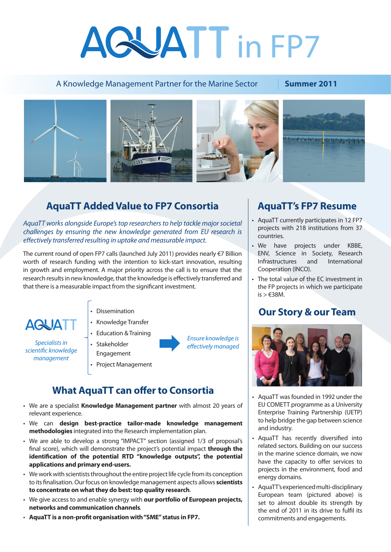# AGUATT in FP7

#### A Knowledge Management Partner for the Marine Sector **Summer 2011**



## **AquaTT Added Value to FP7 Consortia AquaTT's FP7 Resume**

*AquaTT works alongside Europe's top researchers to help tackle major societal challenges by ensuring the new knowledge generated from EU research is effectively transferred resulting in uptake and measurable impact.*

The current round of open FP7 calls (launched July 2011) provides nearly €7 Billion worth of research funding with the intention to kick-start innovation, resulting in growth and employment. A major priority across the call is to ensure that the research results in new knowledge, that the knowledge is effectively transferred and that there is a measurable impact from the significant investment.



*Specialists in scientific knowledge management*

- Dissemination
- • Knowledge Transfer
- • Education &Training
- Stakeholder Engagement • Project Management

*Ensure knowledge is effectively managed*

### **What AquaTT can offer to Consortia**

- • We are a specialist **Knowledge Management partner** with almost 20 years of relevant experience.
- • We can **design best-practice tailor-made knowledge management methodologies** integrated into the Research implementation plan.
- We are able to develop a strong "IMPACT" section (assigned 1/3 of proposal's final score), which will demonstrate the project's potential impact **through the identification of the potential RTD "knowledge outputs", the potential applications and primary end-users.**
- We work with scientists throughout the entire project life cycle from its conception to its finalisation.Our focus on knowledge management aspects allows **scientists to concentrate on what they do best: top quality research**.
- • We give access to and enable synergy with **our portfolio of European projects, networks and communication channels***.*
- • **AquaTT is a non-profit organisation with "SME" status in FP7.**

- • AquaTT currently participates in 12 FP7 projects with 218 institutions from 37 countries.
- We have projects under KBBE, ENV, Science in Society, Research Infrastructures and International Cooperation (INCO).
- The total value of the EC investment in the FP projects in which we participate  $is > \text{\textsterling}38M$ .

#### **Our Story & our Team**



- AquaTT was founded in 1992 under the EU COMETT programme as a University Enterprise Training Partnership (UETP) to help bridge the gap between science and industry.
- • AquaTT has recently diversified into related sectors. Building on our success in the marine science domain, we now have the capacity to offer services to projects in the environment, food and energy domains.
- • AquaTT'sexperiencedmulti-disciplinary European team (pictured above) is set to almost double its strength by the end of 2011 in its drive to fulfil its commitments and engagements.